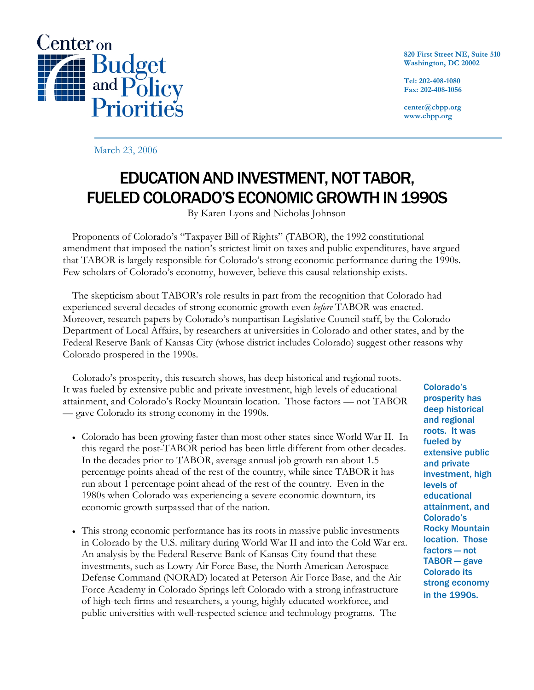

**820 First Street NE, Suite 510 Washington, DC 20002** 

**Tel: 202-408-1080 Fax: 202-408-1056** 

**center@cbpp.org www.cbpp.org** 

March 23, 2006

# EDUCATION AND INVESTMENT, NOT TABOR, FUELED COLORADO'S ECONOMIC GROWTH IN 1990S

By Karen Lyons and Nicholas Johnson

 Proponents of Colorado's "Taxpayer Bill of Rights" (TABOR), the 1992 constitutional amendment that imposed the nation's strictest limit on taxes and public expenditures, have argued that TABOR is largely responsible for Colorado's strong economic performance during the 1990s. Few scholars of Colorado's economy, however, believe this causal relationship exists.

 The skepticism about TABOR's role results in part from the recognition that Colorado had experienced several decades of strong economic growth even *before* TABOR was enacted. Moreover, research papers by Colorado's nonpartisan Legislative Council staff, by the Colorado Department of Local Affairs, by researchers at universities in Colorado and other states, and by the Federal Reserve Bank of Kansas City (whose district includes Colorado) suggest other reasons why Colorado prospered in the 1990s.

 Colorado's prosperity, this research shows, has deep historical and regional roots. It was fueled by extensive public and private investment, high levels of educational attainment, and Colorado's Rocky Mountain location. Those factors — not TABOR — gave Colorado its strong economy in the 1990s.

- Colorado has been growing faster than most other states since World War II. In this regard the post-TABOR period has been little different from other decades. In the decades prior to TABOR, average annual job growth ran about 1.5 percentage points ahead of the rest of the country, while since TABOR it has run about 1 percentage point ahead of the rest of the country. Even in the 1980s when Colorado was experiencing a severe economic downturn, its economic growth surpassed that of the nation.
- This strong economic performance has its roots in massive public investments in Colorado by the U.S. military during World War II and into the Cold War era. An analysis by the Federal Reserve Bank of Kansas City found that these investments, such as Lowry Air Force Base, the North American Aerospace Defense Command (NORAD) located at Peterson Air Force Base, and the Air Force Academy in Colorado Springs left Colorado with a strong infrastructure of high-tech firms and researchers, a young, highly educated workforce, and public universities with well-respected science and technology programs. The

Colorado's prosperity has deep historical and regional roots. It was fueled by extensive public and private investment, high levels of educational attainment, and Colorado's Rocky Mountain location. Those factors — not TABOR — gave Colorado its strong economy in the 1990s.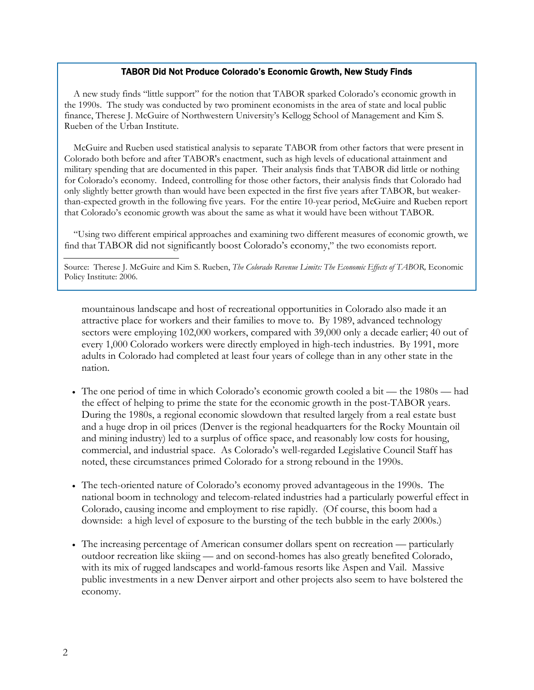#### TABOR Did Not Produce Colorado's Economic Growth, New Study Finds

A new study finds "little support" for the notion that TABOR sparked Colorado's economic growth in the 1990s. The study was conducted by two prominent economists in the area of state and local public finance, Therese J. McGuire of Northwestern University's Kellogg School of Management and Kim S. Rueben of the Urban Institute.

McGuire and Rueben used statistical analysis to separate TABOR from other factors that were present in Colorado both before and after TABOR's enactment, such as high levels of educational attainment and military spending that are documented in this paper. Their analysis finds that TABOR did little or nothing for Colorado's economy. Indeed, controlling for those other factors, their analysis finds that Colorado had only slightly better growth than would have been expected in the first five years after TABOR, but weakerthan-expected growth in the following five years. For the entire 10-year period, McGuire and Rueben report that Colorado's economic growth was about the same as what it would have been without TABOR.

"Using two different empirical approaches and examining two different measures of economic growth, we find that TABOR did not significantly boost Colorado's economy," the two economists report.

Source: Therese J. McGuire and Kim S. Rueben, *The Colorado Revenue Limits: The Economic Effects of TABOR*, Economic Policy Institute: 2006.

mountainous landscape and host of recreational opportunities in Colorado also made it an attractive place for workers and their families to move to. By 1989, advanced technology sectors were employing 102,000 workers, compared with 39,000 only a decade earlier; 40 out of every 1,000 Colorado workers were directly employed in high-tech industries. By 1991, more adults in Colorado had completed at least four years of college than in any other state in the nation.

- The one period of time in which Colorado's economic growth cooled a bit the 1980s had the effect of helping to prime the state for the economic growth in the post-TABOR years. During the 1980s, a regional economic slowdown that resulted largely from a real estate bust and a huge drop in oil prices (Denver is the regional headquarters for the Rocky Mountain oil and mining industry) led to a surplus of office space, and reasonably low costs for housing, commercial, and industrial space. As Colorado's well-regarded Legislative Council Staff has noted, these circumstances primed Colorado for a strong rebound in the 1990s.
- The tech-oriented nature of Colorado's economy proved advantageous in the 1990s. The national boom in technology and telecom-related industries had a particularly powerful effect in Colorado, causing income and employment to rise rapidly. (Of course, this boom had a downside: a high level of exposure to the bursting of the tech bubble in the early 2000s.)
- The increasing percentage of American consumer dollars spent on recreation particularly outdoor recreation like skiing — and on second-homes has also greatly benefited Colorado, with its mix of rugged landscapes and world-famous resorts like Aspen and Vail. Massive public investments in a new Denver airport and other projects also seem to have bolstered the economy.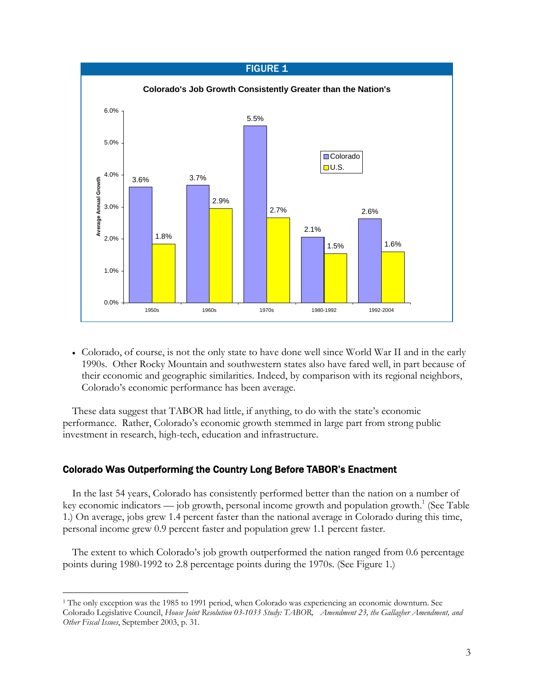

• Colorado, of course, is not the only state to have done well since World War II and in the early 1990s. Other Rocky Mountain and southwestern states also have fared well, in part because of their economic and geographic similarities. Indeed, by comparison with its regional neighbors, Colorado's economic performance has been average.

These data suggest that TABOR had little, if anything, to do with the state's economic performance. Rather, Colorado's economic growth stemmed in large part from strong public investment in research, high-tech, education and infrastructure.

# Colorado Was Outperforming the Country Long Before TABOR's Enactment

 $\overline{a}$ 

In the last 54 years, Colorado has consistently performed better than the nation on a number of key economic indicators — job growth, personal income growth and population growth.<sup>1</sup> (See Table 1.) On average, jobs grew 1.4 percent faster than the national average in Colorado during this time, personal income grew 0.9 percent faster and population grew 1.1 percent faster.

 The extent to which Colorado's job growth outperformed the nation ranged from 0.6 percentage points during 1980-1992 to 2.8 percentage points during the 1970s. (See Figure 1.)

<sup>1</sup> The only exception was the 1985 to 1991 period, when Colorado was experiencing an economic downturn. See Colorado Legislative Council, *House Joint Resolution 03-1033 Study: TABOR, Amendment 23, the Gallagher Amendment, and Other Fiscal Issues*, September 2003, p. 31.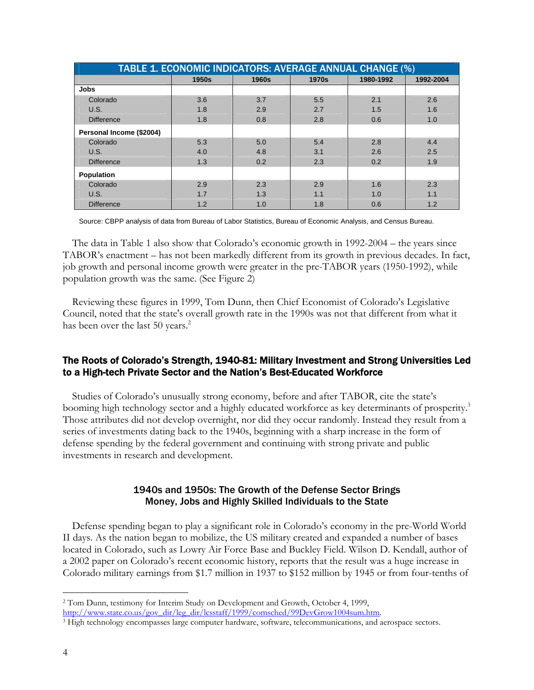| TABLE 1. ECONOMIC INDICATORS: AVERAGE ANNUAL CHANGE (%) |       |       |       |           |           |  |  |
|---------------------------------------------------------|-------|-------|-------|-----------|-----------|--|--|
|                                                         | 1950s | 1960s | 1970s | 1980-1992 | 1992-2004 |  |  |
| <b>Jobs</b>                                             |       |       |       |           |           |  |  |
| Colorado                                                | 3.6   | 3.7   | 5.5   | 2.1       | 2.6       |  |  |
| U.S.                                                    | 1.8   | 2.9   | 2.7   | 1.5       | 1.6       |  |  |
| <b>Difference</b>                                       | 1.8   | 0.8   | 2.8   | 0.6       | 1.0       |  |  |
| Personal Income (\$2004)                                |       |       |       |           |           |  |  |
| Colorado                                                | 5.3   | 5.0   | 5.4   | 2.8       | 4.4       |  |  |
| U.S.                                                    | 4.0   | 4.8   | 3.1   | 2.6       | 2.5       |  |  |
| <b>Difference</b>                                       | 1.3   | 0.2   | 2.3   | 0.2       | 1.9       |  |  |
| Population                                              |       |       |       |           |           |  |  |
| Colorado                                                | 2.9   | 2.3   | 2.9   | 1.6       | 2.3       |  |  |
| U.S.                                                    | 1.7   | 1.3   | 1.1   | 1.0       | 1.1       |  |  |
| <b>Difference</b>                                       | 1.2   | 1.0   | 1.8   | 0.6       | 1.2       |  |  |

Source: CBPP analysis of data from Bureau of Labor Statistics, Bureau of Economic Analysis, and Census Bureau.

 The data in Table 1 also show that Colorado's economic growth in 1992-2004 – the years since TABOR's enactment – has not been markedly different from its growth in previous decades. In fact, job growth and personal income growth were greater in the pre-TABOR years (1950-1992), while population growth was the same. (See Figure 2)

Reviewing these figures in 1999, Tom Dunn, then Chief Economist of Colorado's Legislative Council, noted that the state's overall growth rate in the 1990s was not that different from what it has been over the last 50 years.<sup>2</sup>

# The Roots of Colorado's Strength, 1940-81: Military Investment and Strong Universities Led to a High-tech Private Sector and the Nation's Best-Educated Workforce

Studies of Colorado's unusually strong economy, before and after TABOR, cite the state's booming high technology sector and a highly educated workforce as key determinants of prosperity.<sup>3</sup> Those attributes did not develop overnight, nor did they occur randomly. Instead they result from a series of investments dating back to the 1940s, beginning with a sharp increase in the form of defense spending by the federal government and continuing with strong private and public investments in research and development.

# 1940s and 1950s: The Growth of the Defense Sector Brings Money, Jobs and Highly Skilled Individuals to the State

Defense spending began to play a significant role in Colorado's economy in the pre-World World II days. As the nation began to mobilize, the US military created and expanded a number of bases located in Colorado, such as Lowry Air Force Base and Buckley Field. Wilson D. Kendall, author of a 2002 paper on Colorado's recent economic history, reports that the result was a huge increase in Colorado military earnings from \$1.7 million in 1937 to \$152 million by 1945 or from four-tenths of

<sup>-</sup>2 Tom Dunn, testimony for Interim Study on Development and Growth, October 4, 1999, http://www.state.co.us/gov\_dir/leg\_dir/lcsstaff/1999/comsched/99DevGrow1004sum.htm. 3 High technology encompasses large computer hardware, software, telecommunications, and aerospace sectors.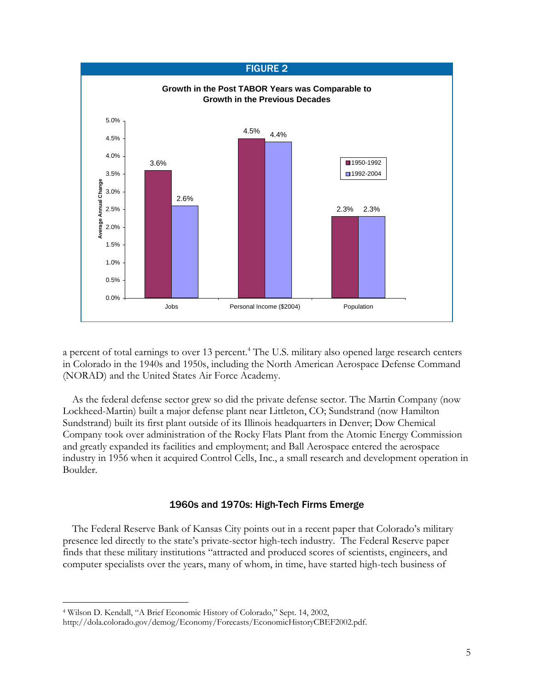

a percent of total earnings to over 13 percent.<sup>4</sup> The U.S. military also opened large research centers in Colorado in the 1940s and 1950s, including the North American Aerospace Defense Command (NORAD) and the United States Air Force Academy.

As the federal defense sector grew so did the private defense sector. The Martin Company (now Lockheed-Martin) built a major defense plant near Littleton, CO; Sundstrand (now Hamilton Sundstrand) built its first plant outside of its Illinois headquarters in Denver; Dow Chemical Company took over administration of the Rocky Flats Plant from the Atomic Energy Commission and greatly expanded its facilities and employment; and Ball Aerospace entered the aerospace industry in 1956 when it acquired Control Cells, Inc., a small research and development operation in Boulder.

## 1960s and 1970s: High-Tech Firms Emerge

The Federal Reserve Bank of Kansas City points out in a recent paper that Colorado's military presence led directly to the state's private-sector high-tech industry. The Federal Reserve paper finds that these military institutions "attracted and produced scores of scientists, engineers, and computer specialists over the years, many of whom, in time, have started high-tech business of

-

<sup>4</sup> Wilson D. Kendall, "A Brief Economic History of Colorado," Sept. 14, 2002,

http://dola.colorado.gov/demog/Economy/Forecasts/EconomicHistoryCBEF2002.pdf.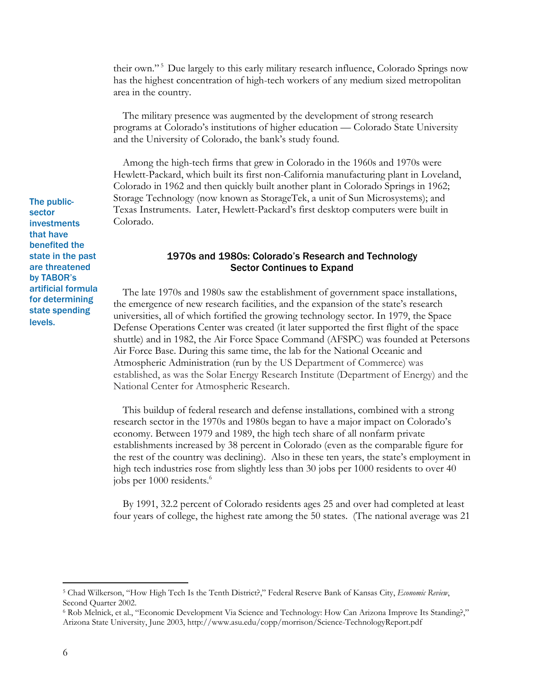their own." 5 Due largely to this early military research influence, Colorado Springs now has the highest concentration of high-tech workers of any medium sized metropolitan area in the country.

The military presence was augmented by the development of strong research programs at Colorado's institutions of higher education — Colorado State University and the University of Colorado, the bank's study found.

Among the high-tech firms that grew in Colorado in the 1960s and 1970s were Hewlett-Packard, which built its first non-California manufacturing plant in Loveland, Colorado in 1962 and then quickly built another plant in Colorado Springs in 1962; Storage Technology (now known as StorageTek, a unit of Sun Microsystems); and Texas Instruments. Later, Hewlett-Packard's first desktop computers were built in Colorado.

# 1970s and 1980s: Colorado's Research and Technology Sector Continues to Expand

The late 1970s and 1980s saw the establishment of government space installations, the emergence of new research facilities, and the expansion of the state's research universities, all of which fortified the growing technology sector. In 1979, the Space Defense Operations Center was created (it later supported the first flight of the space shuttle) and in 1982, the Air Force Space Command (AFSPC) was founded at Petersons Air Force Base. During this same time, the lab for the National Oceanic and Atmospheric Administration (run by the US Department of Commerce) was established, as was the Solar Energy Research Institute (Department of Energy) and the National Center for Atmospheric Research.

This buildup of federal research and defense installations, combined with a strong research sector in the 1970s and 1980s began to have a major impact on Colorado's economy. Between 1979 and 1989, the high tech share of all nonfarm private establishments increased by 38 percent in Colorado (even as the comparable figure for the rest of the country was declining). Also in these ten years, the state's employment in high tech industries rose from slightly less than 30 jobs per 1000 residents to over 40 jobs per 1000 residents.<sup>6</sup>

 By 1991, 32.2 percent of Colorado residents ages 25 and over had completed at least four years of college, the highest rate among the 50 states. (The national average was 21

The publicsector investments that have benefited the state in the past are threatened by TABOR's artificial formula for determining state spending levels.

<sup>5</sup> Chad Wilkerson, "How High Tech Is the Tenth District?," Federal Reserve Bank of Kansas City, *Economic Review*, Second Quarter 2002.

<sup>6</sup> Rob Melnick, et al., "Economic Development Via Science and Technology: How Can Arizona Improve Its Standing?," Arizona State University, June 2003, http://www.asu.edu/copp/morrison/Science-TechnologyReport.pdf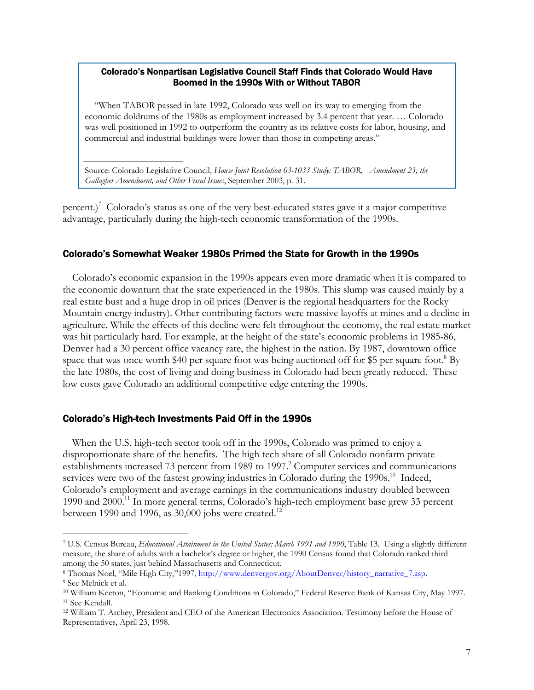#### Colorado's Nonpartisan Legislative Council Staff Finds that Colorado Would Have Boomed in the 1990s With or Without TABOR

"When TABOR passed in late 1992, Colorado was well on its way to emerging from the economic doldrums of the 1980s as employment increased by 3.4 percent that year. … Colorado was well positioned in 1992 to outperform the country as its relative costs for labor, housing, and commercial and industrial buildings were lower than those in competing areas."

Source: Colorado Legislative Council, *House Joint Resolution 03-1033 Study: TABOR, Amendment 23, the Gallagher Amendment, and Other Fiscal Issues*, September 2003, p. 31.

percent.)<sup>7</sup> Colorado's status as one of the very best-educated states gave it a major competitive advantage, particularly during the high-tech economic transformation of the 1990s.

## Colorado's Somewhat Weaker 1980s Primed the State for Growth in the 1990s

Colorado's economic expansion in the 1990s appears even more dramatic when it is compared to the economic downturn that the state experienced in the 1980s. This slump was caused mainly by a real estate bust and a huge drop in oil prices (Denver is the regional headquarters for the Rocky Mountain energy industry). Other contributing factors were massive layoffs at mines and a decline in agriculture. While the effects of this decline were felt throughout the economy, the real estate market was hit particularly hard. For example, at the height of the state's economic problems in 1985-86, Denver had a 30 percent office vacancy rate, the highest in the nation. By 1987, downtown office space that was once worth \$40 per square foot was being auctioned off for \$5 per square foot.<sup>8</sup> By the late 1980s, the cost of living and doing business in Colorado had been greatly reduced. These low costs gave Colorado an additional competitive edge entering the 1990s.

#### Colorado's High-tech Investments Paid Off in the 1990s

When the U.S. high-tech sector took off in the 1990s, Colorado was primed to enjoy a disproportionate share of the benefits. The high tech share of all Colorado nonfarm private establishments increased 73 percent from 1989 to 1997.<sup>9</sup> Computer services and communications services were two of the fastest growing industries in Colorado during the  $1990s$ <sup>10</sup> Indeed, Colorado's employment and average earnings in the communications industry doubled between 1990 and 2000.<sup>11</sup> In more general terms, Colorado's high-tech employment base grew 33 percent between 1990 and 1996, as  $30,000$  jobs were created.<sup>12</sup>

<sup>7</sup> U.S. Census Bureau, *Educational Attainment in the United States: March 1991 and 1990*, Table 13. Using a slightly different measure, the share of adults with a bachelor's degree or higher, the 1990 Census found that Colorado ranked third among the 50 states, just behind Massachusetts and Connecticut.<br><sup>8</sup> Thomas Noel, "Mile High City,"1997, <u>http://www.denvergov.org/AboutDenver/history\_narrative\_7.asp</u>. 9 See Melnick et al.

<sup>&</sup>lt;sup>10</sup> William Keeton, "Economic and Banking Conditions in Colorado," Federal Reserve Bank of Kansas City, May 1997.<br><sup>11</sup> See Kendall.

<sup>12</sup> William T. Archey, President and CEO of the American Electronics Association. Testimony before the House of Representatives, April 23, 1998.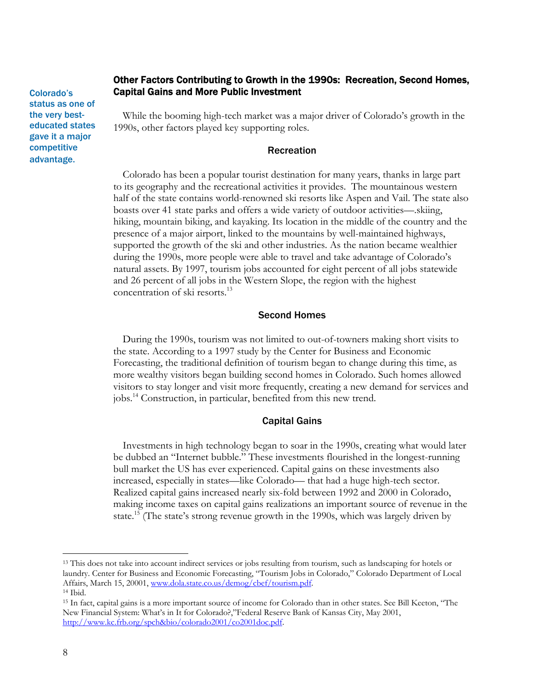Colorado's status as one of the very besteducated states gave it a major competitive advantage.

# Other Factors Contributing to Growth in the 1990s: Recreation, Second Homes, Capital Gains and More Public Investment

While the booming high-tech market was a major driver of Colorado's growth in the 1990s, other factors played key supporting roles.

# Recreation

Colorado has been a popular tourist destination for many years, thanks in large part to its geography and the recreational activities it provides. The mountainous western half of the state contains world-renowned ski resorts like Aspen and Vail. The state also boasts over 41 state parks and offers a wide variety of outdoor activities—.skiing, hiking, mountain biking, and kayaking. Its location in the middle of the country and the presence of a major airport, linked to the mountains by well-maintained highways, supported the growth of the ski and other industries. As the nation became wealthier during the 1990s, more people were able to travel and take advantage of Colorado's natural assets. By 1997, tourism jobs accounted for eight percent of all jobs statewide and 26 percent of all jobs in the Western Slope, the region with the highest concentration of ski resorts.<sup>13</sup>

## Second Homes

During the 1990s, tourism was not limited to out-of-towners making short visits to the state. According to a 1997 study by the Center for Business and Economic Forecasting, the traditional definition of tourism began to change during this time, as more wealthy visitors began building second homes in Colorado. Such homes allowed visitors to stay longer and visit more frequently, creating a new demand for services and jobs.14 Construction, in particular, benefited from this new trend.

## Capital Gains

Investments in high technology began to soar in the 1990s, creating what would later be dubbed an "Internet bubble." These investments flourished in the longest-running bull market the US has ever experienced. Capital gains on these investments also increased, especially in states—like Colorado— that had a huge high-tech sector. Realized capital gains increased nearly six-fold between 1992 and 2000 in Colorado, making income taxes on capital gains realizations an important source of revenue in the state.<sup>15</sup> (The state's strong revenue growth in the 1990s, which was largely driven by

<sup>&</sup>lt;sup>13</sup> This does not take into account indirect services or jobs resulting from tourism, such as landscaping for hotels or laundry. Center for Business and Economic Forecasting, "Tourism Jobs in Colorado," Colorado Department of Local Affairs, March 15, 20001, www.dola.state.co.us/demog/cbef/tourism.pdf. 14 Ibid.

<sup>15</sup> In fact, capital gains is a more important source of income for Colorado than in other states. See Bill Keeton, "The New Financial System: What's in It for Colorado?,"Federal Reserve Bank of Kansas City, May 2001, http://www.kc.frb.org/spch&bio/colorado2001/co2001doc.pdf.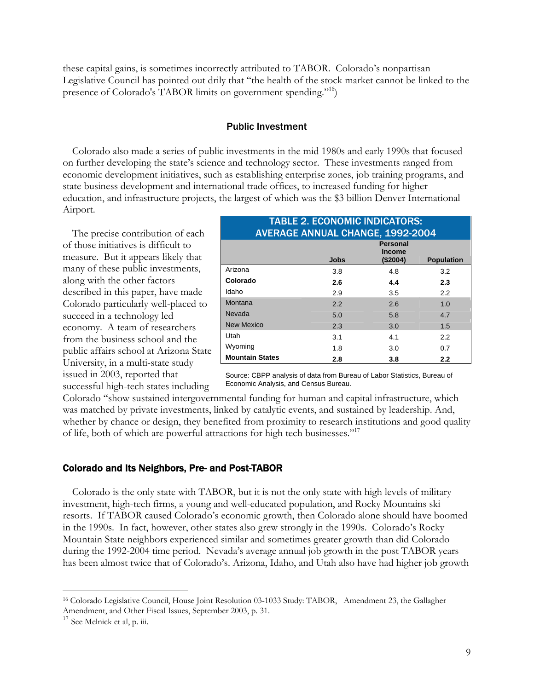these capital gains, is sometimes incorrectly attributed to TABOR. Colorado's nonpartisan Legislative Council has pointed out drily that "the health of the stock market cannot be linked to the presence of Colorado's TABOR limits on government spending."16)

#### Public Investment

Colorado also made a series of public investments in the mid 1980s and early 1990s that focused on further developing the state's science and technology sector. These investments ranged from economic development initiatives, such as establishing enterprise zones, job training programs, and state business development and international trade offices, to increased funding for higher education, and infrastructure projects, the largest of which was the \$3 billion Denver International Airport.

 The precise contribution of each of those initiatives is difficult to measure. But it appears likely that many of these public investments, along with the other factors described in this paper, have made Colorado particularly well-placed to succeed in a technology led economy. A team of researchers from the business school and the public affairs school at Arizona State University, in a multi-state study issued in 2003, reported that successful high-tech states including

| <b>TABLE 2. ECONOMIC INDICATORS:</b><br><b>AVERAGE ANNUAL CHANGE, 1992-2004</b> |             |                                              |                   |  |  |
|---------------------------------------------------------------------------------|-------------|----------------------------------------------|-------------------|--|--|
|                                                                                 | <b>Jobs</b> | <b>Personal</b><br><b>Income</b><br>(\$2004) | <b>Population</b> |  |  |
| Arizona                                                                         | 3.8         | 4.8                                          | 3.2               |  |  |
| Colorado                                                                        | 2.6         | 4.4                                          | 2.3               |  |  |
| Idaho                                                                           | 2.9         | 3.5                                          | $2.2^{\circ}$     |  |  |
| Montana                                                                         | 2.2         | 2.6                                          | 1.0               |  |  |
| Nevada                                                                          | 5.0         | 5.8                                          | 4.7               |  |  |
| <b>New Mexico</b>                                                               | 2.3         | 3.0                                          | 1.5               |  |  |
| Utah                                                                            | 3.1         | 4.1                                          | $2.2^{\circ}$     |  |  |
| Wyoming                                                                         | 1.8         | 3.0                                          | 0.7               |  |  |
| <b>Mountain States</b>                                                          | 2.8         | 3.8                                          | 2.2               |  |  |

Source: CBPP analysis of data from Bureau of Labor Statistics, Bureau of Economic Analysis, and Census Bureau.

Colorado "show sustained intergovernmental funding for human and capital infrastructure, which was matched by private investments, linked by catalytic events, and sustained by leadership. And, whether by chance or design, they benefited from proximity to research institutions and good quality of life, both of which are powerful attractions for high tech businesses."17

## Colorado and Its Neighbors, Pre- and Post-TABOR

Colorado is the only state with TABOR, but it is not the only state with high levels of military investment, high-tech firms, a young and well-educated population, and Rocky Mountains ski resorts. If TABOR caused Colorado's economic growth, then Colorado alone should have boomed in the 1990s. In fact, however, other states also grew strongly in the 1990s. Colorado's Rocky Mountain State neighbors experienced similar and sometimes greater growth than did Colorado during the 1992-2004 time period. Nevada's average annual job growth in the post TABOR years has been almost twice that of Colorado's. Arizona, Idaho, and Utah also have had higher job growth

<sup>&</sup>lt;sup>16</sup> Colorado Legislative Council, House Joint Resolution 03-1033 Study: TABOR, Amendment 23, the Gallagher Amendment, and Other Fiscal Issues, September 2003, p. 31.

<sup>&</sup>lt;sup>17</sup> See Melnick et al, p. iii.